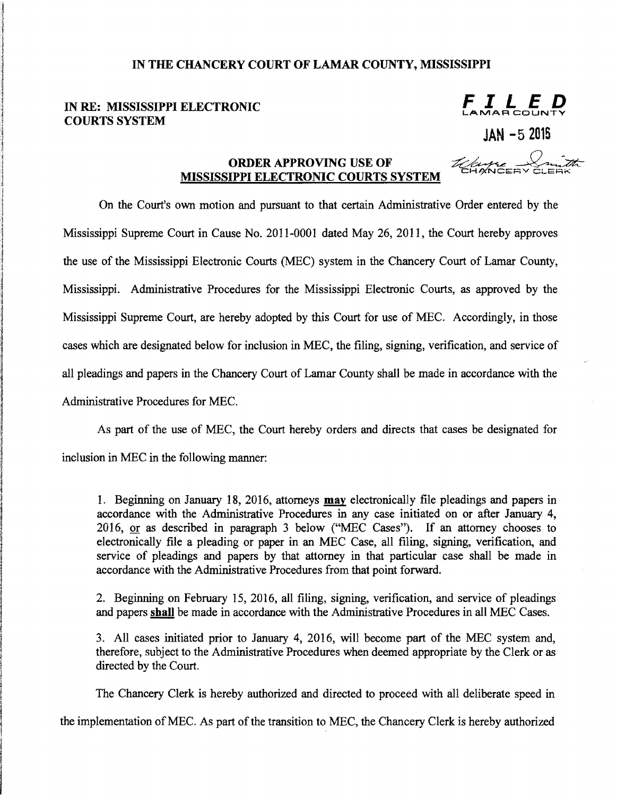## IN THE CHANCERY COURT OF LAMAR COUNTY, MISSISSIPPI

## IN RE: MISSISSIPPI ELECTRONIC **FILED** COURTS SYSTEM

JAN -5 2015

## ORDER APPROVING USE OF WISSISSIPPI ELECTRONIC COURTS SYSTEM

On the Court's own motion and pursuant to that certain Administrative Order entered by the Mississippi Supreme Court in Cause No. 2011-0001 dated May 26, 2011, the Court hereby approves the use of the Mississippi Electronic Courts (MEC) system in the Chancery Court of Lamar County, Mississippi. Administrative Procedures for the Mississippi Electronic Courts, as approved by the Mississippi Supreme Court, are hereby adopted by this Court for use of MEC. Accordingly, in those cases which are designated below for inclusion in MEC, the filing, signing, verification, and service of all pleadings and papers in the Chancery Court of Lamar County shall be made in accordance with the Administrative Procedures for MEC.

As part of the use of MEC, the Court hereby orders and directs that cases be designated for inclusion in MEC in the following manner:

1. Beginning on January 18,2016, attorneys may electronically file pleadings and papers in accordance with the Administrative Procedures in any case initiated on or after January 4, 2016, or as described in paragraph 3 below ("MEC Cases"). If an attorney chooses to electronically file a pleading or paper in an MEC Case, all filing, signing, verification, and service of pleadings and papers by that attorney in that particular case shall be made in accordance with the Administrative Procedures from that point forward.

2. Beginning on February 15, 2016, all filing, signing, verification, and service of pleadings and papers shall be made in accordance with the Administrative Procedures in all MEC Cases.

3. All cases initiated prior to January 4, 2016, will become part of the MEC system and, therefore, subject to the Administrative Procedures when deemed appropriate by the Clerk or as directed by the Court.

The Chancery Clerk is hereby authorized and directed to proceed with all deliberate speed in

the implementation ofMEC. As part of the transition to MEC, the Chancery Clerk is hereby authorized